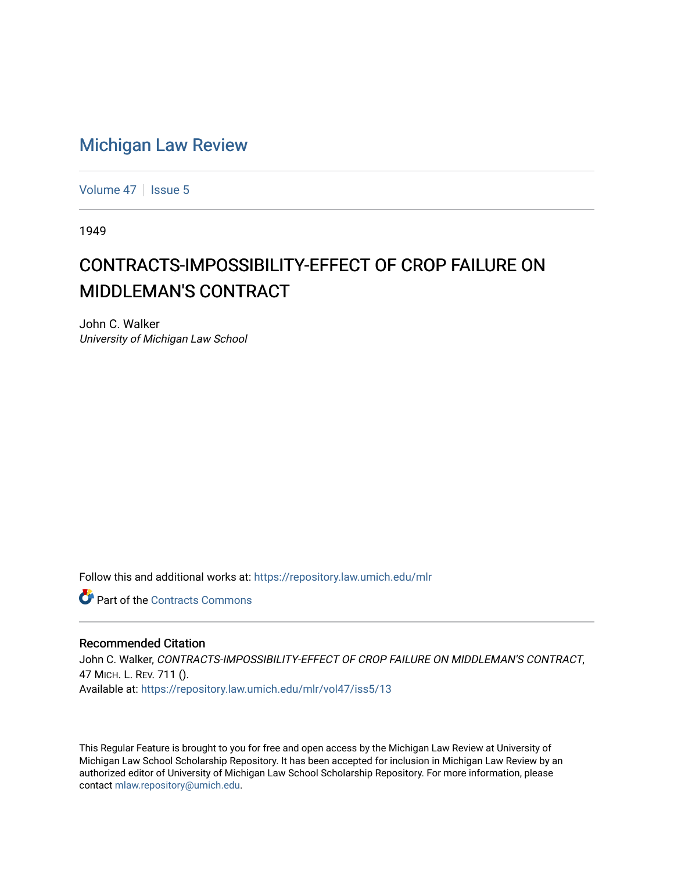## [Michigan Law Review](https://repository.law.umich.edu/mlr)

[Volume 47](https://repository.law.umich.edu/mlr/vol47) | [Issue 5](https://repository.law.umich.edu/mlr/vol47/iss5)

1949

## CONTRACTS-IMPOSSIBILITY-EFFECT OF CROP FAILURE ON MIDDLEMAN'S CONTRACT

John C. Walker University of Michigan Law School

Follow this and additional works at: [https://repository.law.umich.edu/mlr](https://repository.law.umich.edu/mlr?utm_source=repository.law.umich.edu%2Fmlr%2Fvol47%2Fiss5%2F13&utm_medium=PDF&utm_campaign=PDFCoverPages) 

**C** Part of the [Contracts Commons](http://network.bepress.com/hgg/discipline/591?utm_source=repository.law.umich.edu%2Fmlr%2Fvol47%2Fiss5%2F13&utm_medium=PDF&utm_campaign=PDFCoverPages)

## Recommended Citation

John C. Walker, CONTRACTS-IMPOSSIBILITY-EFFECT OF CROP FAILURE ON MIDDLEMAN'S CONTRACT, 47 MICH. L. REV. 711 (). Available at: [https://repository.law.umich.edu/mlr/vol47/iss5/13](https://repository.law.umich.edu/mlr/vol47/iss5/13?utm_source=repository.law.umich.edu%2Fmlr%2Fvol47%2Fiss5%2F13&utm_medium=PDF&utm_campaign=PDFCoverPages) 

This Regular Feature is brought to you for free and open access by the Michigan Law Review at University of Michigan Law School Scholarship Repository. It has been accepted for inclusion in Michigan Law Review by an authorized editor of University of Michigan Law School Scholarship Repository. For more information, please contact [mlaw.repository@umich.edu](mailto:mlaw.repository@umich.edu).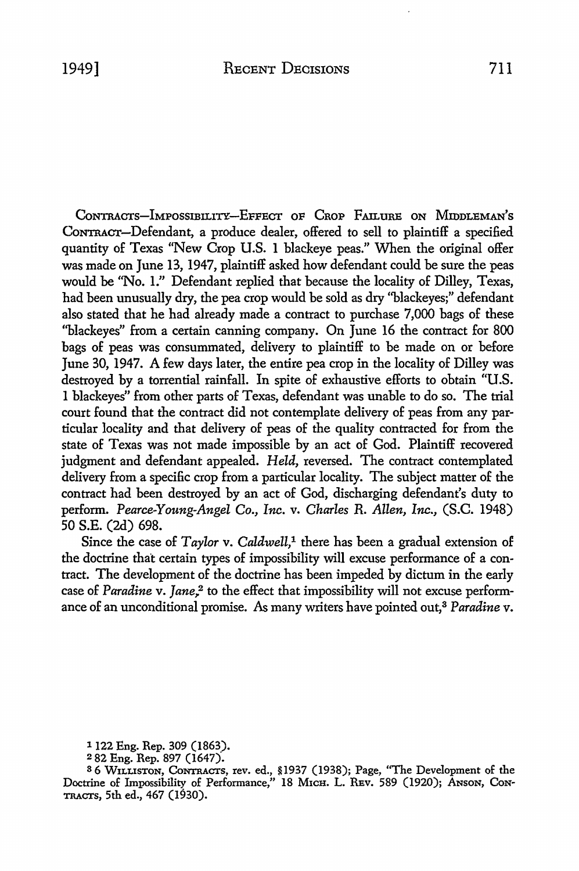CoNTRACTS-IMPOSSIBILITY-EFFECT OF CROP FAILURE ON MIDDLEMAN'S CONTRACT-Defendant, a produce dealer, offered to sell to plaintiff a specified quantity of Texas "New Crop U.S. 1 blackeye peas." When the original offer was made on June 13, 1947, plaintiff asked how defendant could be sure the peas would be "No. 1." Defendant replied that because the locality of Dilley, Texas, had been unusually dry, the pea crop would be sold as dry ''blackeyes;" defendant also stated that he had already made a contract to purchase 7,000 bags of these "blackeyes" from a certain canning company. On June 16 the contract for 800 bags of peas was consummated, delivery to plaintiff to be made on or before June 30, 1947. A few days later, the entire pea crop in the locality of Dilley was destroyed by a torrential rainfall. In spite of exhaustive efforts to obtain "U.S. 1 blackeyes" from other parts of Texas, defendant was unable to do so. The trial court found that the contract did not contemplate delivery of peas from any particular locality and that delivery of peas of the quality contracted for from the state of Texas was not made impossible by an act of God. Plaintiff recovered judgment and defendant appealed. *Held,* reversed. The contract contemplated delivery from a specific crop from a particular locality. The subject matter of the contract had been destroyed by an act of God, discharging defendant's duty to perform. *Pearce-Young-Angel Co., Inc.* v. *Charles* R. *Allen, Inc.,* (S.C. 1948) 50 S.E. (2d) 698.

Since the case of *Taylor* v. *Caldwell*,<sup>1</sup> there has been a gradual extension of the doctrine that certain types of impossibility will excuse performance of a contract. The development of the doctrine has been impeded by dictum in the early case of *Paradine* v. *Jane*,<sup>2</sup> to the effect that impossibility will not excuse performance of an unconditional promise. As many writers have pointed out,3 *Paradine* v.

1122 Eng. Rep. 309 (1863).

3 6 W1LUSTON, CoNTRACTS, rev. ed., §1937 (1938); Page, "The Development of the Doctrine of Impossibility of Performance," 18 M1cH. L. REv. 589 (1920); ANSON, CoN-TRACTs, 5th ed., 467 (1930).

<sup>2</sup>82 Eng. Rep. 897 (1647).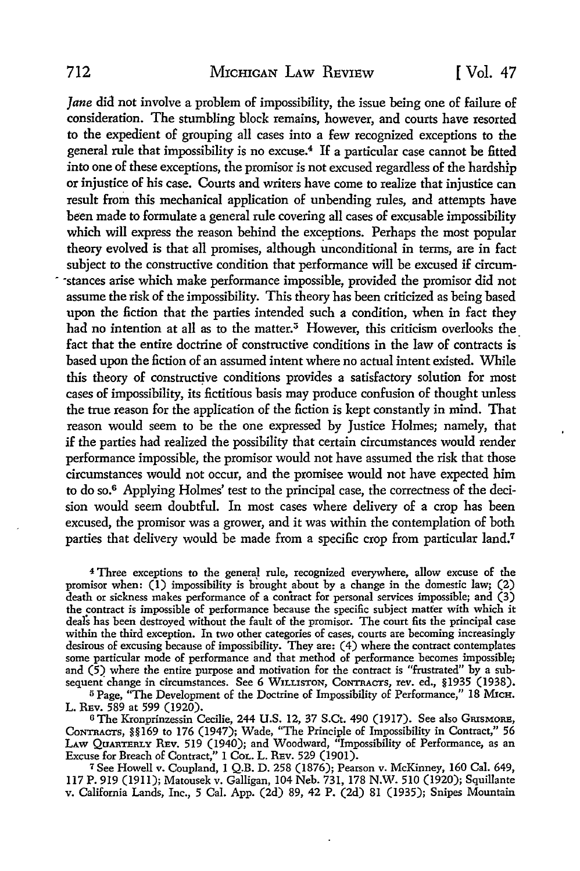Jane did not involve a problem of impossibility, the issue being one of failure of consideration. The stumbling block remains, however, and courts have resorted to the expedient of grouping all cases into a few recognized exceptions to the general rule that impossibility is no excuse.<sup>4</sup>If a particular case cannot be fitted into one of these exceptions, the promisor is not excused regardless of the hardship or injustice of his case. Courts and writers have come to realize that injustice can result from this mechanical application of unbending rules, and attempts have been made to formulate a general rule covering all cases of excusable impossibility which will express the reason behind the exceptions. Perhaps the most popular theory evolved is that all promises, although unconditional in terms, are in fact subject to the constructive condition that performance will be excused if circum- . ·stances arise which make performance impossible, provided the promisor did not assume the risk of the impossibility. This theory has been criticized as being based upon the fiction that the parties intended such a condition, when in fact they had no intention at all as to the matter.<sup>5</sup> However, this criticism overlooks the fact that the entire doctrine of constructive conditions in the law of contracts is based upon the fiction of an assumed intent where no actual intent existed. While this theory of constructive conditions provides a satisfactory solution for most cases of impossibility, its fictitious basis may produce confusion of thought unless the true reason for the application of the fiction is kept constantly in mind. That reason would seem to be the one expressed by Justice Holmes; namely, that if the parties had realized the possibility that certain circumstances would render performance impossible, the promisor would not have assumed the risk that those circumstances would not occur, and the promisee would not have expected him to do so.6 Applying Holmes' test to the principal case, the correctness of the decision would seem doubtful. In most cases where delivery of a crop has been excused, the promisor was a grower, and it was within the contemplation of both parties that delivery would be made from a specific crop from particular land.<sup>7</sup>

4 Three exceptions to the general rule, recognized everywhere, allow excuse of the promisor when:  $(1)$  impossibility is brought about by a change in the domestic law;  $(2)$ death or sickness makes performance of a contract for personal services impossible; and  $(3)$ the contract is impossible of performance because the specific subject matter with which it deals has been destroyed without the fault of the promisor. The court fits the principal case within the third exception. In two other categories of cases, courts are becoming increasingly desirous of excusing because of impossibility. They are: (4) where the contract contemplates some particular mode of performance and that method of performance becomes impossible; and  $(5)$  where the entire purpose and motivation for the contract is "frustrated" by a subsequent change in circumstances. See 6 WILLISTON, CONTRACTS, rev. ed., §1935 (1938).

<sup>5</sup> Page, "The Development of the Doctrine of Impossibility of Performance," 18 MICH. L. REv. 589 at 599 (1920).

<sup>6</sup> The Kronprinzessin Cecilie, 244 U.S. 12, 37 S.Ct. 490 (1917). See also GRISMORE, CoNTRACTS, §§169 to 176 (1947); Wade, "The Principle of Impossibility in Contract,'' 56 LAW QuARTERLY REv. 519 (1940); and Woodward, "Impossibility of Performance, as an Excuse for Breach of Contract," 1 CoL. L. REv. 529 (1901).

<sup>7</sup>See Howell v. Coupland, 1 Q.B. D. 258 (1876); Pearson v. McKinney, 160 Cal. 649, ll7 P. 919 (19II); Matousek v. Galligan, 104 Neb. 731, 178 N.W. 510 (1920); Squillante v. California Lands, Inc., 5 Cal. App. (2d) 89, 42 P. (2d) 81 (1935); Snipes Mountain